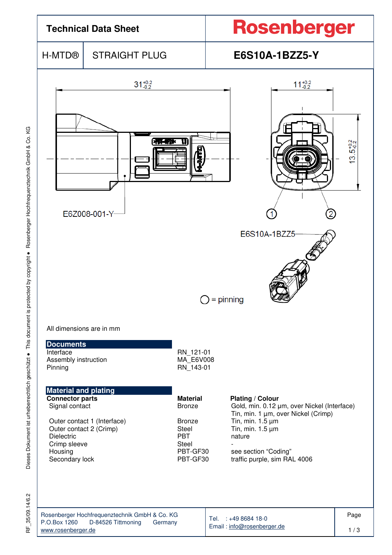

35/09.14/6.2 RF\_35/09.14/6.2 눈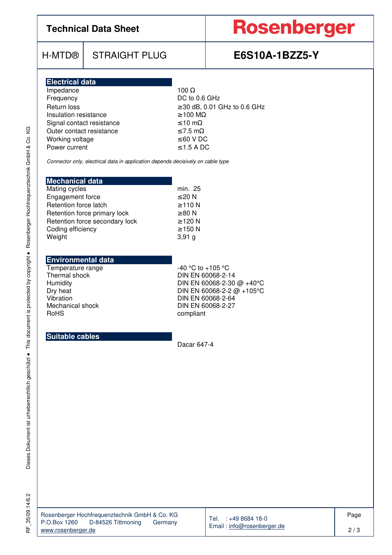## **Technical Data Sheet**

# Rosenberger

## H-MTD® STRAIGHT PLUG **E6S10A-1BZZ5-Y**

| <b>Electrical data</b>    |                                   |
|---------------------------|-----------------------------------|
| Impedance                 | 100 $\Omega$                      |
| Frequency                 | DC to 0.6 GHz                     |
| Return loss               | $\geq$ 30 dB, 0.01 GHz to 0.6 GHz |
| Insulation resistance     | $\geq$ 100 M $\Omega$             |
| Signal contact resistance | $\leq 10$ m $\Omega$              |
| Outer contact resistance  | $\leq$ 7.5 m $\Omega$             |
| Working voltage           | $\leq 60$ V DC                    |
| Power current             | $\leq$ 1.5 A DC                   |

Connector only, electrical data in application depends decisively on cable type

| <b>Mechanical data</b>         |              |
|--------------------------------|--------------|
| Mating cycles                  | min. 25      |
| Engagement force               | $\leq 20$ N  |
| Retention force latch          | $\geq$ 110 N |
| Retention force primary lock   | $\geq 80$ N  |
| Retention force secondary lock | $\geq$ 120 N |
| Coding efficiency              | $\geq$ 150 N |
| Weight                         | 3,91g        |

### **Environmental data**

Temperature range<br>
Thermal shock<br>
Thermal shock<br>
DIN EN 60068-2-1

Thermal shock DIN EN 60068-2-14<br>Humidity DIN EN 60068-2-30 Humidity<br>DIN EN 60068-2-30 @ +40°C<br>DIN EN 60068-2-2 @ +105°C Dry heat Dry heat DIN EN 60068-2-2 @ +105°C<br>Vibration DIN EN 60068-2-64 Vibration DIN EN 60068-2-64<br>Mechanical shock DIN EN 60068-2-27 Mechanical shock DIN EN 60068-2-27<br>RoHS compliant compliant

### **Suitable cables**

Dacar 647-4

Dieses Dokument ist urheberrechtlich geschützt · This document is protected by copyright · Rosenberger Hochfrequenztechnik GmbH & Co. KG Dieses Dokument ist urheberrechtlich geschützt ● This document is protected by copyright ● Rosenberger Hochfrequenztechnik GmbH & Co. KG RF 35/09.14/6.2 RF\_35/09.14/6.2

 $\overline{\phantom{a}}$ 

| Rosenberger Hochfrequenztechnik GmbH & Co. KG |  |         |  |  |  |
|-----------------------------------------------|--|---------|--|--|--|
| D-84526 Tittmoning<br>P.O.Box 1260            |  | Germany |  |  |  |
| www.rosenberger.de                            |  |         |  |  |  |

Tel. : +49 8684 18-0 Email : info@rosenberger.de Page

2 / 3